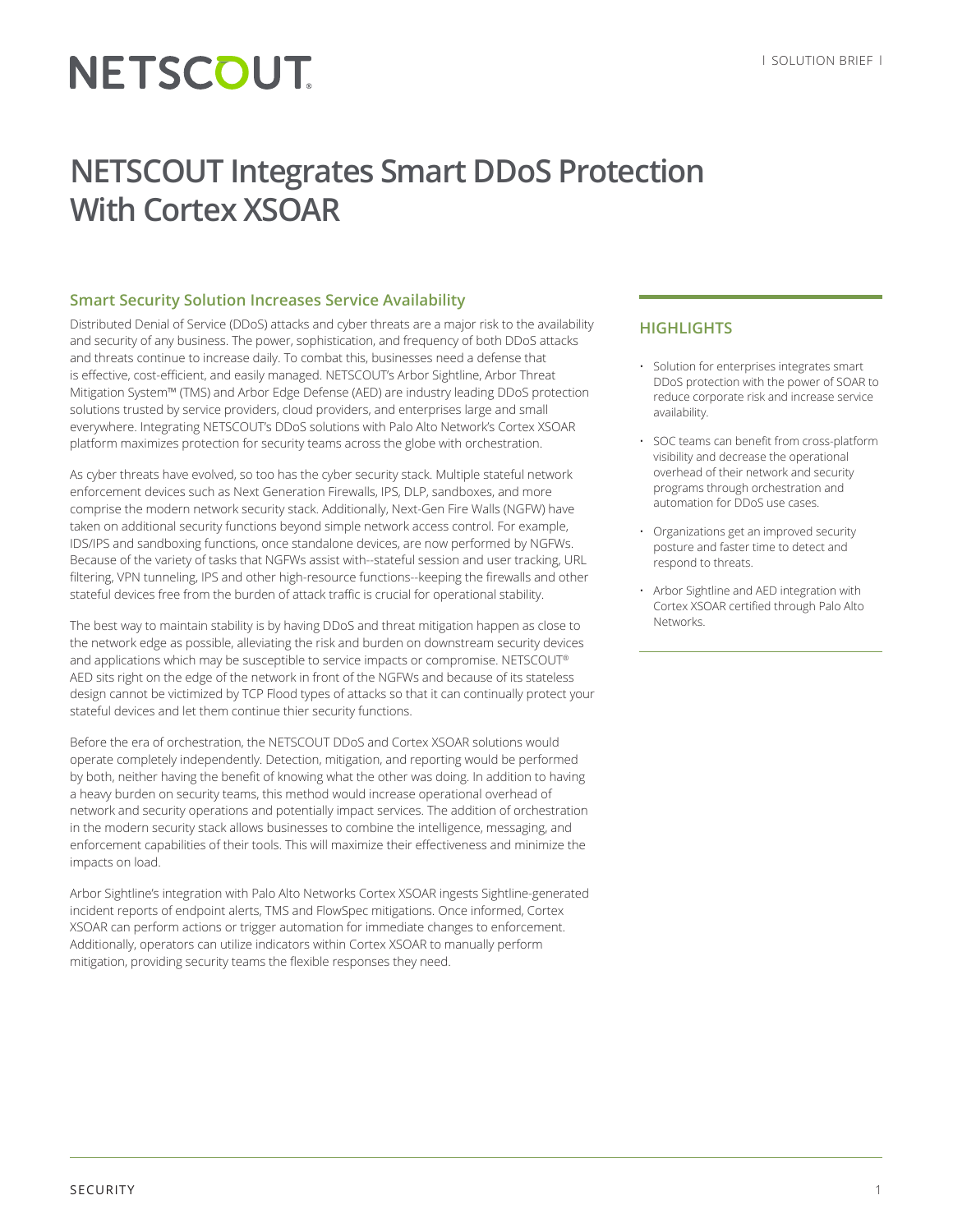# NETSCOUT

# **NETSCOUT Integrates Smart DDoS Protection With Cortex XSOAR**

## **Smart Security Solution Increases Service Availability**

Distributed Denial of Service (DDoS) attacks and cyber threats are a major risk to the availability and security of any business. The power, sophistication, and frequency of both DDoS attacks and threats continue to increase daily. To combat this, businesses need a defense that is effective, cost-efficient, and easily managed. NETSCOUT's Arbor Sightline, Arbor Threat Mitigation System™ (TMS) and Arbor Edge Defense (AED) are industry leading DDoS protection solutions trusted by service providers, cloud providers, and enterprises large and small everywhere. Integrating NETSCOUT's DDoS solutions with Palo Alto Network's Cortex XSOAR platform maximizes protection for security teams across the globe with orchestration.

As cyber threats have evolved, so too has the cyber security stack. Multiple stateful network enforcement devices such as Next Generation Firewalls, IPS, DLP, sandboxes, and more comprise the modern network security stack. Additionally, Next-Gen Fire Walls (NGFW) have taken on additional security functions beyond simple network access control. For example, IDS/IPS and sandboxing functions, once standalone devices, are now performed by NGFWs. Because of the variety of tasks that NGFWs assist with--stateful session and user tracking, URL filtering, VPN tunneling, IPS and other high-resource functions--keeping the firewalls and other stateful devices free from the burden of attack traffic is crucial for operational stability.

The best way to maintain stability is by having DDoS and threat mitigation happen as close to the network edge as possible, alleviating the risk and burden on downstream security devices and applications which may be susceptible to service impacts or compromise. NETSCOUT® AED sits right on the edge of the network in front of the NGFWs and because of its stateless design cannot be victimized by TCP Flood types of attacks so that it can continually protect your stateful devices and let them continue thier security functions.

Before the era of orchestration, the NETSCOUT DDoS and Cortex XSOAR solutions would operate completely independently. Detection, mitigation, and reporting would be performed by both, neither having the benefit of knowing what the other was doing. In addition to having a heavy burden on security teams, this method would increase operational overhead of network and security operations and potentially impact services. The addition of orchestration in the modern security stack allows businesses to combine the intelligence, messaging, and enforcement capabilities of their tools. This will maximize their effectiveness and minimize the impacts on load.

Arbor Sightline's integration with Palo Alto Networks Cortex XSOAR ingests Sightline-generated incident reports of endpoint alerts, TMS and FlowSpec mitigations. Once informed, Cortex XSOAR can perform actions or trigger automation for immediate changes to enforcement. Additionally, operators can utilize indicators within Cortex XSOAR to manually perform mitigation, providing security teams the flexible responses they need.

### **HIGHLIGHTS**

- Solution for enterprises integrates smart DDoS protection with the power of SOAR to reduce corporate risk and increase service availability.
- SOC teams can benefit from cross-platform visibility and decrease the operational overhead of their network and security programs through orchestration and automation for DDoS use cases.
- Organizations get an improved security posture and faster time to detect and respond to threats.
- Arbor Sightline and AED integration with Cortex XSOAR certified through Palo Alto **Networks**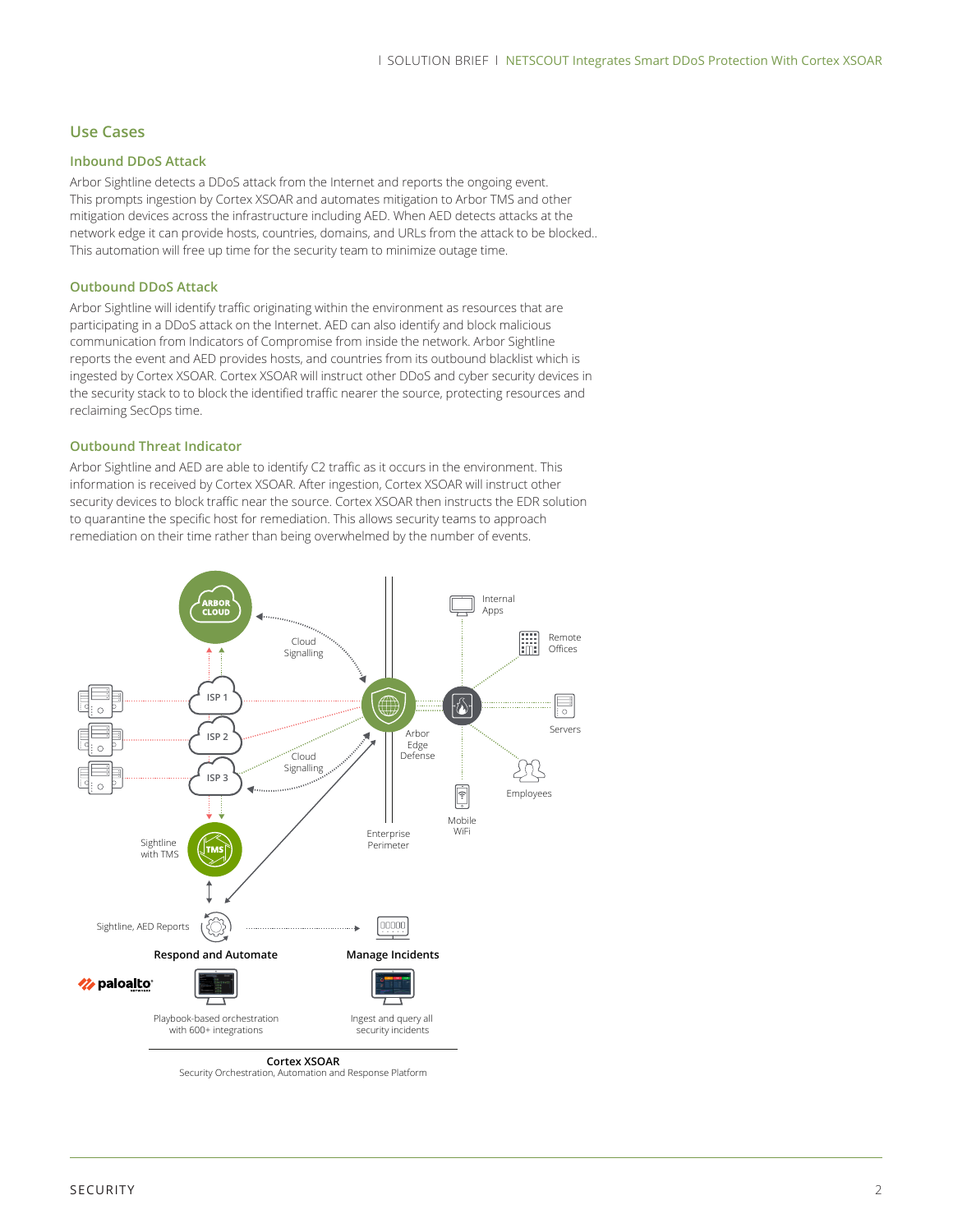### **Use Cases**

#### **Inbound DDoS Attack**

Arbor Sightline detects a DDoS attack from the Internet and reports the ongoing event. This prompts ingestion by Cortex XSOAR and automates mitigation to Arbor TMS and other mitigation devices across the infrastructure including AED. When AED detects attacks at the network edge it can provide hosts, countries, domains, and URLs from the attack to be blocked.. This automation will free up time for the security team to minimize outage time.

#### **Outbound DDoS Attack**

Arbor Sightline will identify traffic originating within the environment as resources that are participating in a DDoS attack on the Internet. AED can also identify and block malicious communication from Indicators of Compromise from inside the network. Arbor Sightline reports the event and AED provides hosts, and countries from its outbound blacklist which is ingested by Cortex XSOAR. Cortex XSOAR will instruct other DDoS and cyber security devices in the security stack to to block the identified traffic nearer the source, protecting resources and reclaiming SecOps time.

#### **Outbound Threat Indicator**

Arbor Sightline and AED are able to identify C2 traffic as it occurs in the environment. This information is received by Cortex XSOAR. After ingestion, Cortex XSOAR will instruct other security devices to block traffic near the source. Cortex XSOAR then instructs the EDR solution to quarantine the specific host for remediation. This allows security teams to approach remediation on their time rather than being overwhelmed by the number of events.